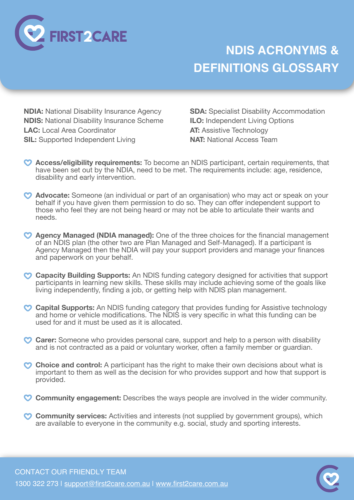

## **NDIS ACRONYMS & DEFINITIONS GLOSSARY**

**NDIA:** National Disability Insurance Agency **NDIS:** National Disability Insurance Scheme **LAC:** Local Area Coordinator **SIL:** Supported Independent Living

**SDA:** Specialist Disability Accommodation **ILO:** Independent Living Options **AT:** Assistive Technology **NAT:** National Access Team

- **Access/eligibility requirements:** To become an NDIS participant, certain requirements, that have been set out by the NDIA, need to be met. The requirements include: age, residence, disability and early intervention.
- **Advocate:** Someone (an individual or part of an organisation) who may act or speak on your behalf if you have given them permission to do so. They can offer independent support to those who feel they are not being heard or may not be able to articulate their wants and needs.
- **Agency Managed (NDIA managed):** One of the three choices for the financial management of an NDIS plan (the other two are Plan Managed and Self-Managed). If a participant is Agency Managed then the NDIA will pay your support providers and manage your finances and paperwork on your behalf.
- **Capacity Building Supports:** An NDIS funding category designed for activities that support participants in learning new skills. These skills may include achieving some of the goals like living independently, finding a job, or getting help with NDIS plan management.
- **Capital Supports:** An NDIS funding category that provides funding for Assistive technology and home or vehicle modifications. The NDIS is very specific in what this funding can be used for and it must be used as it is allocated.
- **Carer:** Someone who provides personal care, support and help to a person with disability and is not contracted as a paid or voluntary worker, often a family member or quardian.
- Choice and control: A participant has the right to make their own decisions about what is important to them as well as the decision for who provides support and how that support is provided.
- **Community engagement:** Describes the ways people are involved in the wider community.
- **Community services:** Activities and interests (not supplied by government groups), which are available to everyone in the community e.g. social, study and sporting interests.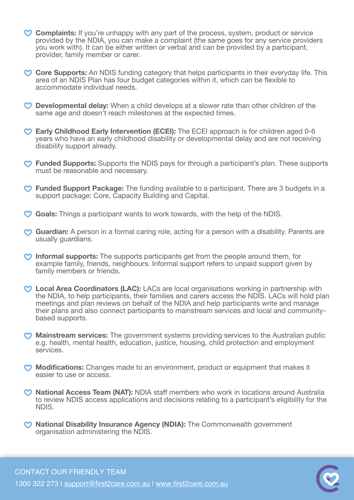- **Complaints:** If you're unhappy with any part of the process, system, product or service provided by the NDIA, you can make a complaint (the same goes for any service providers you work with). It can be either written or verbal and can be provided by a participant, provider, family member or carer.
- **Core Supports:** An NDIS funding category that helps participants in their everyday life. This area of an NDIS Plan has four budget categories within it, which can be flexible to accommodate individual needs.
- **Developmental delay:** When a child develops at a slower rate than other children of the same age and doesn't reach milestones at the expected times.
- **Early Childhood Early Intervention (ECEI):** The ECEI approach is for children aged 0-6 years who have an early childhood disability or developmental delay and are not receiving disability support already.
- **Funded Supports:** Supports the NDIS pays for through a participant's plan. These supports must be reasonable and necessary.
- **Funded Support Package:** The funding available to a participant. There are 3 budgets in a support package: Core, Capacity Building and Capital.
- **Goals:** Things a participant wants to work towards, with the help of the NDIS.
- **Guardian:** A person in a formal caring role, acting for a person with a disability. Parents are usually guardians.
- **Informal supports:** The supports participants get from the people around them, for example family, friends, neighbours. Informal support refers to unpaid support given by family members or friends.
- **Local Area Coordinators (LAC):** LACs are local organisations working in partnership with the NDIA, to help participants, their families and carers access the NDIS. LACs will hold plan meetings and plan reviews on behalf of the NDIA and help participants write and manage their plans and also connect participants to mainstream services and local and communitybased supports.
- **Mainstream services:** The government systems providing services to the Australian public e.g. health, mental health, education, justice, housing, child protection and employment services.
- **Modifications:** Changes made to an environment, product or equipment that makes it easier to use or access.
- **National Access Team (NAT):** NDIA staff members who work in locations around Australia to review NDIS access applications and decisions relating to a participant's eligibility for the NDIS.
- **National Disability Insurance Agency (NDIA):** The Commonwealth government organisation administering the NDIS.

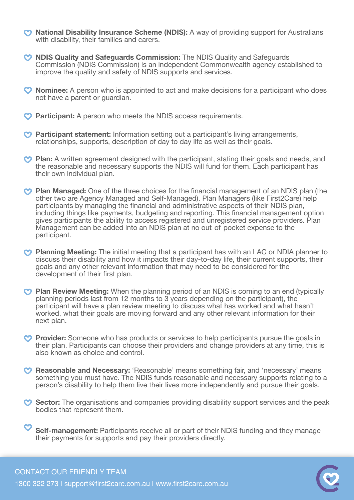- **Mational Disability Insurance Scheme (NDIS):** A way of providing support for Australians with disability, their families and carers.
- **NDIS Quality and Safeguards Commission:** The NDIS Quality and Safeguards Commission (NDIS Commission) is an independent Commonwealth agency established to improve the quality and safety of NDIS supports and services.
- **Nominee:** A person who is appointed to act and make decisions for a participant who does not have a parent or guardian.
- **Participant:** A person who meets the NDIS access requirements.
- **Participant statement:** Information setting out a participant's living arrangements, relationships, supports, description of day to day life as well as their goals.
- **Plan:** A written agreement designed with the participant, stating their goals and needs, and the reasonable and necessary supports the NDIS will fund for them. Each participant has their own individual plan.
- **Plan Managed:** One of the three choices for the financial management of an NDIS plan (the other two are Agency Managed and Self-Managed). Plan Managers (like First2Care) help participants by managing the financial and administrative aspects of their NDIS plan, including things like payments, budgeting and reporting. This financial management option gives participants the ability to access registered and unregistered service providers. Plan Management can be added into an NDIS plan at no out-of-pocket expense to the participant.
- **Planning Meeting:** The initial meeting that a participant has with an LAC or NDIA planner to discuss their disability and how it impacts their day-to-day life, their current supports, their goals and any other relevant information that may need to be considered for the development of their first plan.
- **Plan Review Meeting:** When the planning period of an NDIS is coming to an end (typically planning periods last from 12 months to 3 years depending on the participant), the participant will have a plan review meeting to discuss what has worked and what hasn't worked, what their goals are moving forward and any other relevant information for their next plan.
- **Provider:** Someone who has products or services to help participants pursue the goals in their plan. Participants can choose their providers and change providers at any time, this is also known as choice and control.
- **Reasonable and Necessary:** 'Reasonable' means something fair, and 'necessary' means something you must have. The NDIS funds reasonable and necessary supports relating to a person's disability to help them live their lives more independently and pursue their goals.
- **Sector:** The organisations and companies providing disability support services and the peak bodies that represent them.

**Self-management:** Participants receive all or part of their NDIS funding and they manage their payments for supports and pay their providers directly.